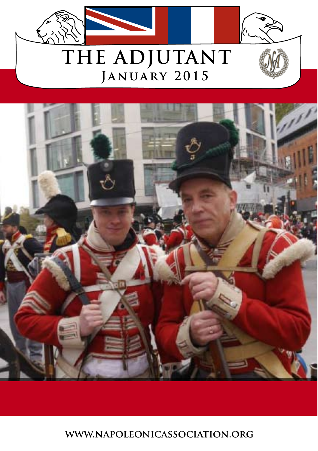



**www.napoleonicassociation.org**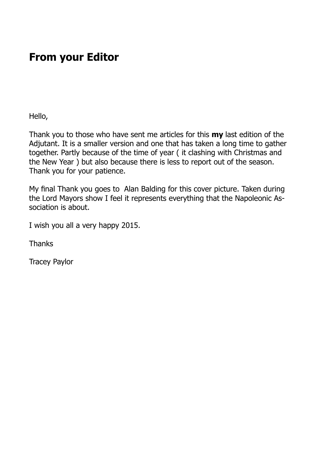### **From your Editor**

Hello,

Thank you to those who have sent me articles for this **my** last edition of the Adjutant. It is a smaller version and one that has taken a long time to gather together. Partly because of the time of year ( it clashing with Christmas and the New Year ) but also because there is less to report out of the season. Thank you for your patience.

My fnal Thank you goes to Alan Balding for this cover picture. Taken during the Lord Mayors show I feel it represents everything that the Napoleonic Association is about.

I wish you all a very happy 2015.

Thanks

Tracey Paylor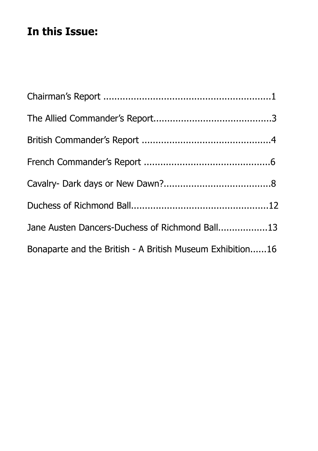## **In this Issue:**

| Jane Austen Dancers-Duchess of Richmond Ball13            |  |
|-----------------------------------------------------------|--|
| Bonaparte and the British - A British Museum Exhibition16 |  |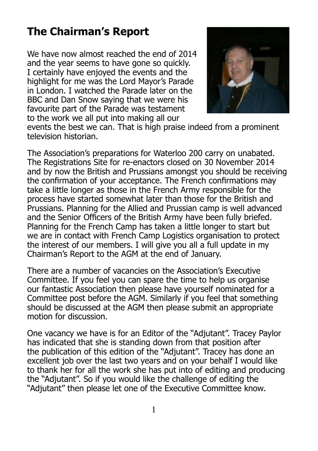# **The Chairman's Report**

We have now almost reached the end of 2014 and the year seems to have gone so quickly. I certainly have enjoyed the events and the highlight for me was the Lord Mayor's Parade in London. I watched the Parade later on the BBC and Dan Snow saying that we were his favourite part of the Parade was testament to the work we all put into making all our



events the best we can. That is high praise indeed from a prominent television historian.

The Association's preparations for Waterloo 200 carry on unabated. The Registrations Site for re-enactors closed on 30 November 2014 and by now the British and Prussians amongst you should be receiving the confrmation of your acceptance. The French confrmations may take a little longer as those in the French Army responsible for the process have started somewhat later than those for the British and Prussians. Planning for the Allied and Prussian camp is well advanced and the Senior Officers of the British Army have been fully briefed. Planning for the French Camp has taken a little longer to start but we are in contact with French Camp Logistics organisation to protect the interest of our members. I will give you all a full update in my Chairman's Report to the AGM at the end of January.

There are a number of vacancies on the Association's Executive Committee. If you feel you can spare the time to help us organise our fantastic Association then please have yourself nominated for a Committee post before the AGM. Similarly if you feel that something should be discussed at the AGM then please submit an appropriate motion for discussion.

One vacancy we have is for an Editor of the "Adjutant". Tracey Paylor has indicated that she is standing down from that position after the publication of this edition of the "Adjutant". Tracey has done an excellent job over the last two years and on your behalf I would like to thank her for all the work she has put into of editing and producing the "Adjutant". So if you would like the challenge of editing the "Adjutant" then please let one of the Executive Committee know.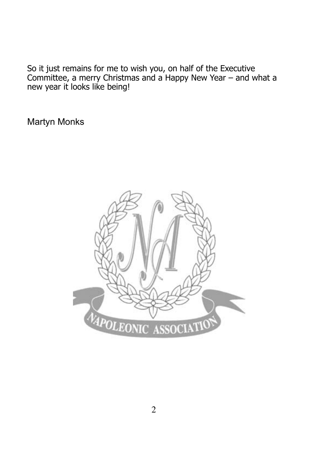So it just remains for me to wish you, on half of the Executive Committee, a merry Christmas and a Happy New Year – and what a new year it looks like being!

Martyn Monks

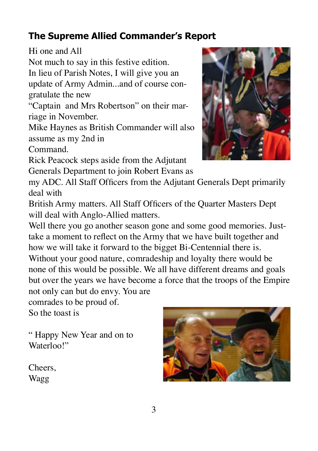### **The Supreme Allied Commander's Report**

Hi one and All

Not much to say in this festive edition.

In lieu of Parish Notes, I will give you an update of Army Admin...and of course congratulate the new

"Captain and Mrs Robertson" on their marriage in November.

Mike Haynes as British Commander will also assume as my 2nd in

Command.

Rick Peacock steps aside from the Adjutant Generals Department to join Robert Evans as



my ADC. All Staff Officers from the Adjutant Generals Dept primarily deal with

British Army matters. All Staff Officers of the Quarter Masters Dept will deal with Anglo-Allied matters.

Well there you go another season gone and some good memories. Justtake a moment to refect on the Army that we have built together and how we will take it forward to the bigget Bi-Centennial there is. Without your good nature, comradeship and loyalty there would be none of this would be possible. We all have different dreams and goals but over the years we have become a force that the troops of the Empire not only can but do envy. You are

comrades to be proud of.

So the toast is

" Happy New Year and on to Waterloo!"

Cheers, Wagg

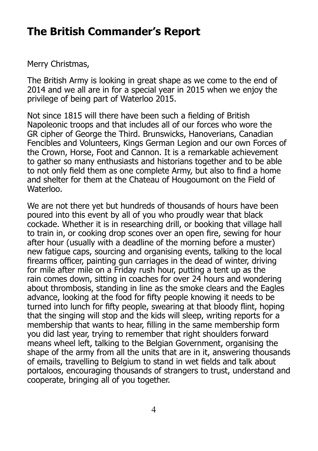### **The British Commander's Report**

Merry Christmas,

The British Army is looking in great shape as we come to the end of 2014 and we all are in for a special year in 2015 when we enjoy the privilege of being part of Waterloo 2015.

Not since 1815 will there have been such a felding of British Napoleonic troops and that includes all of our forces who wore the GR cipher of George the Third. Brunswicks, Hanoverians, Canadian Fencibles and Volunteers, Kings German Legion and our own Forces of the Crown, Horse, Foot and Cannon. It is a remarkable achievement to gather so many enthusiasts and historians together and to be able to not only feld them as one complete Army, but also to fnd a home and shelter for them at the Chateau of Hougoumont on the Field of Waterloo.

We are not there yet but hundreds of thousands of hours have been poured into this event by all of you who proudly wear that black cockade. Whether it is in researching drill, or booking that village hall to train in, or cooking drop scones over an open fre, sewing for hour after hour (usually with a deadline of the morning before a muster) new fatigue caps, sourcing and organising events, talking to the local firearms officer, painting gun carriages in the dead of winter, driving for mile after mile on a Friday rush hour, putting a tent up as the rain comes down, sitting in coaches for over 24 hours and wondering about thrombosis, standing in line as the smoke clears and the Eagles advance, looking at the food for ffty people knowing it needs to be turned into lunch for ffty people, swearing at that bloody flint, hoping that the singing will stop and the kids will sleep, writing reports for a membership that wants to hear, flling in the same membership form you did last year, trying to remember that right shoulders forward means wheel left, talking to the Belgian Government, organising the shape of the army from all the units that are in it, answering thousands of emails, travelling to Belgium to stand in wet felds and talk about portaloos, encouraging thousands of strangers to trust, understand and cooperate, bringing all of you together.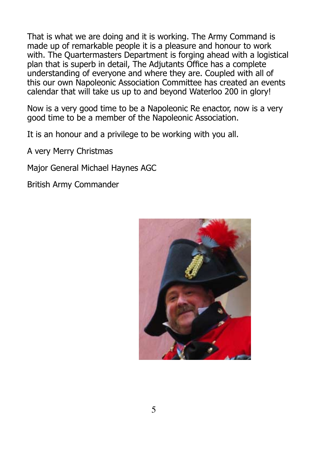That is what we are doing and it is working. The Army Command is made up of remarkable people it is a pleasure and honour to work with. The Quartermasters Department is forging ahead with a logistical plan that is superb in detail, The Adjutants Office has a complete understanding of everyone and where they are. Coupled with all of this our own Napoleonic Association Committee has created an events calendar that will take us up to and beyond Waterloo 200 in glory!

Now is a very good time to be a Napoleonic Re enactor, now is a very good time to be a member of the Napoleonic Association.

It is an honour and a privilege to be working with you all.

A very Merry Christmas

Major General Michael Haynes AGC

British Army Commander

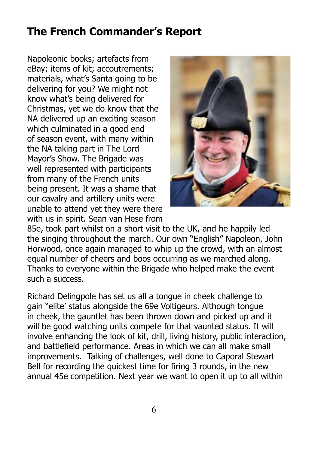### **The French Commander's Report**

Napoleonic books; artefacts from eBay; items of kit; accoutrements; materials, what's Santa going to be delivering for you? We might not know what's being delivered for Christmas, yet we do know that the NA delivered up an exciting season which culminated in a good end of season event, with many within the NA taking part in The Lord Mayor's Show. The Brigade was well represented with participants from many of the French units being present. It was a shame that our cavalry and artillery units were unable to attend yet they were there with us in spirit. Sean van Hese from



85e, took part whilst on a short visit to the UK, and he happily led the singing throughout the march. Our own "English" Napoleon, John Horwood, once again managed to whip up the crowd, with an almost equal number of cheers and boos occurring as we marched along. Thanks to everyone within the Brigade who helped make the event such a success.

Richard Delingpole has set us all a tongue in cheek challenge to gain "elite' status alongside the 69e Voltigeurs. Although tongue in cheek, the gauntlet has been thrown down and picked up and it will be good watching units compete for that vaunted status. It will involve enhancing the look of kit, drill, living history, public interaction, and battlefield performance. Areas in which we can all make small improvements. Talking of challenges, well done to Caporal Stewart Bell for recording the quickest time for fring 3 rounds, in the new annual 45e competition. Next year we want to open it up to all within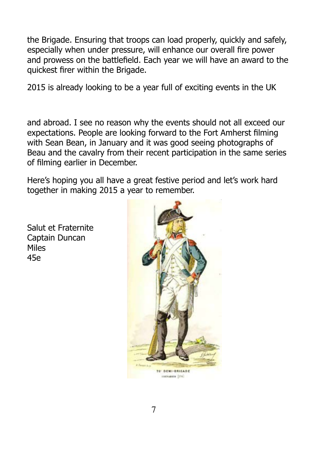the Brigade. Ensuring that troops can load properly, quickly and safely, especially when under pressure, will enhance our overall fre power and prowess on the battlefield. Each year we will have an award to the quickest frer within the Brigade.

2015 is already looking to be a year full of exciting events in the UK

and abroad. I see no reason why the events should not all exceed our expectations. People are looking forward to the Fort Amherst flming with Sean Bean, in January and it was good seeing photographs of Beau and the cavalry from their recent participation in the same series of flming earlier in December.

Here's hoping you all have a great festive period and let's work hard together in making 2015 a year to remember.

Salut et Fraternite Captain Duncan Miles 45e

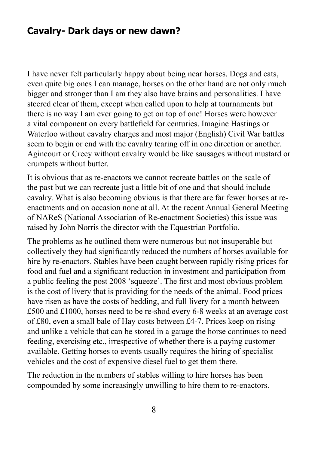#### **Cavalry- Dark days or new dawn?**

I have never felt particularly happy about being near horses. Dogs and cats, even quite big ones I can manage, horses on the other hand are not only much bigger and stronger than I am they also have brains and personalities. I have steered clear of them, except when called upon to help at tournaments but there is no way I am ever going to get on top of one! Horses were however a vital component on every battlefeld for centuries. Imagine Hastings or Waterloo without cavalry charges and most major (English) Civil War battles seem to begin or end with the cavalry tearing off in one direction or another. Agincourt or Crecy without cavalry would be like sausages without mustard or crumpets without butter.

It is obvious that as re-enactors we cannot recreate battles on the scale of the past but we can recreate just a little bit of one and that should include cavalry. What is also becoming obvious is that there are far fewer horses at reenactments and on occasion none at all. At the recent Annual General Meeting of NAReS (National Association of Re-enactment Societies) this issue was raised by John Norris the director with the Equestrian Portfolio.

The problems as he outlined them were numerous but not insuperable but collectively they had signifcantly reduced the numbers of horses available for hire by re-enactors. Stables have been caught between rapidly rising prices for food and fuel and a signifcant reduction in investment and participation from a public feeling the post 2008 'squeeze'. The frst and most obvious problem is the cost of livery that is providing for the needs of the animal. Food prices have risen as have the costs of bedding, and full livery for a month between £500 and £1000, horses need to be re-shod every 6-8 weeks at an average cost of £80, even a small bale of Hay costs between £4-7. Prices keep on rising and unlike a vehicle that can be stored in a garage the horse continues to need feeding, exercising etc., irrespective of whether there is a paying customer available. Getting horses to events usually requires the hiring of specialist vehicles and the cost of expensive diesel fuel to get them there.

The reduction in the numbers of stables willing to hire horses has been compounded by some increasingly unwilling to hire them to re-enactors.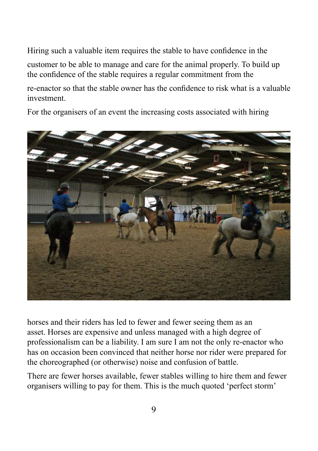Hiring such a valuable item requires the stable to have confdence in the customer to be able to manage and care for the animal properly. To build up the confdence of the stable requires a regular commitment from the

re-enactor so that the stable owner has the confdence to risk what is a valuable investment.

For the organisers of an event the increasing costs associated with hiring



horses and their riders has led to fewer and fewer seeing them as an asset. Horses are expensive and unless managed with a high degree of professionalism can be a liability. I am sure I am not the only re-enactor who has on occasion been convinced that neither horse nor rider were prepared for the choreographed (or otherwise) noise and confusion of battle.

There are fewer horses available, fewer stables willing to hire them and fewer organisers willing to pay for them. This is the much quoted 'perfect storm'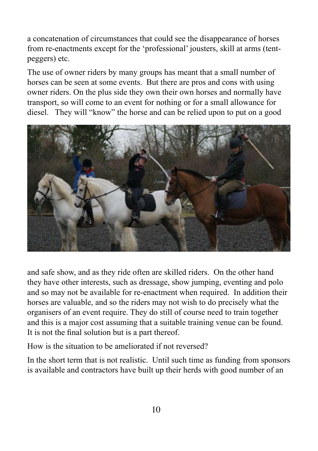a concatenation of circumstances that could see the disappearance of horses from re-enactments except for the 'professional' jousters, skill at arms (tentpeggers) etc.

The use of owner riders by many groups has meant that a small number of horses can be seen at some events. But there are pros and cons with using owner riders. On the plus side they own their own horses and normally have transport, so will come to an event for nothing or for a small allowance for diesel. They will "know" the horse and can be relied upon to put on a good



and safe show, and as they ride often are skilled riders. On the other hand they have other interests, such as dressage, show jumping, eventing and polo and so may not be available for re-enactment when required. In addition their horses are valuable, and so the riders may not wish to do precisely what the organisers of an event require. They do still of course need to train together and this is a major cost assuming that a suitable training venue can be found. It is not the fnal solution but is a part thereof.

How is the situation to be ameliorated if not reversed?

In the short term that is not realistic. Until such time as funding from sponsors is available and contractors have built up their herds with good number of an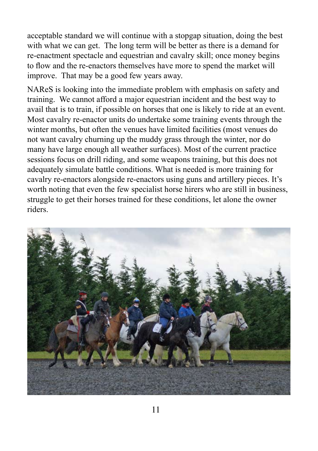acceptable standard we will continue with a stopgap situation, doing the best with what we can get. The long term will be better as there is a demand for re-enactment spectacle and equestrian and cavalry skill; once money begins to flow and the re-enactors themselves have more to spend the market will improve. That may be a good few years away.

NAReS is looking into the immediate problem with emphasis on safety and training. We cannot afford a major equestrian incident and the best way to avail that is to train, if possible on horses that one is likely to ride at an event. Most cavalry re-enactor units do undertake some training events through the winter months, but often the venues have limited facilities (most venues do not want cavalry churning up the muddy grass through the winter, nor do many have large enough all weather surfaces). Most of the current practice sessions focus on drill riding, and some weapons training, but this does not adequately simulate battle conditions. What is needed is more training for cavalry re-enactors alongside re-enactors using guns and artillery pieces. It's worth noting that even the few specialist horse hirers who are still in business, struggle to get their horses trained for these conditions, let alone the owner riders.

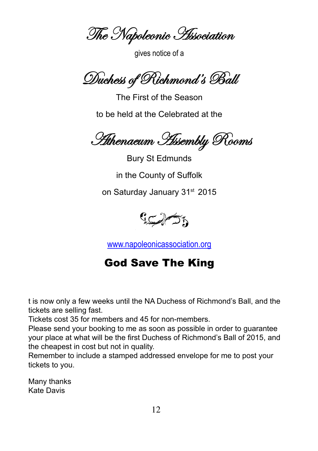The Napoleonic Association

gives notice of a

Duchess of Richmond's Ball

The First of the Season to be held at the Celebrated at the

Athenaeum Assembly Rooms

Bury St Edmunds in the County of Suffolk on Saturday January 31<sup>st</sup> 2015



[www.napoleonicassociation.org](http://www.napoleonicassociation.org)

### God Save The King

t is now only a few weeks until the NA Duchess of Richmond's Ball, and the tickets are selling fast.

Tickets cost 35 for members and 45 for non-members.

Please send your booking to me as soon as possible in order to guarantee your place at what will be the frst Duchess of Richmond's Ball of 2015, and the cheapest in cost but not in quality.

Remember to include a stamped addressed envelope for me to post your tickets to you.

Many thanks Kate Davis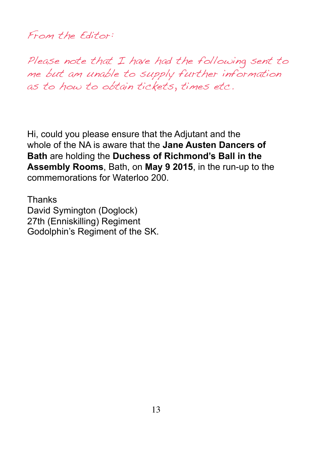From the Editor:

Please note that I have had the following sent to me but am unable to supply further information as to how to obtain tickets, times etc.

Hi, could you please ensure that the Adjutant and the whole of the NA is aware that the **Jane Austen Dancers of Bath** are holding the **Duchess of Richmond's Ball in the Assembly Rooms**, Bath, on **May 9 2015**, in the run-up to the commemorations for Waterloo 200.

Thanks David Symington (Doglock) 27th (Enniskilling) Regiment Godolphin's Regiment of the SK.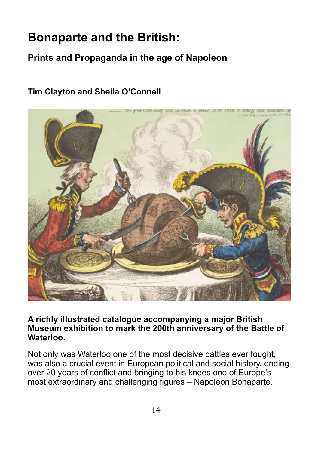# **Bonaparte and the British:**

#### **Prints and Propaganda in the age of Napoleon**

#### **Tim Clayton and Sheila O'Connell**



**A richly illustrated catalogue accompanying a major British Museum exhibition to mark the 200th anniversary of the Battle of Waterloo.** 

Not only was Waterloo one of the most decisive battles ever fought, was also a crucial event in European political and social history, ending over 20 years of confict and bringing to his knees one of Europe's most extraordinary and challenging figures – Napoleon Bonaparte.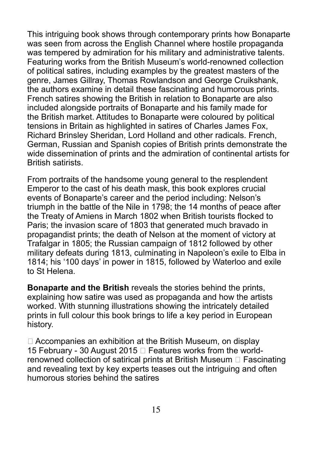This intriguing book shows through contemporary prints how Bonaparte was seen from across the English Channel where hostile propaganda was tempered by admiration for his military and administrative talents. Featuring works from the British Museum's world-renowned collection of political satires, including examples by the greatest masters of the genre, James Gillray, Thomas Rowlandson and George Cruikshank, the authors examine in detail these fascinating and humorous prints. French satires showing the British in relation to Bonaparte are also included alongside portraits of Bonaparte and his family made for the British market. Attitudes to Bonaparte were coloured by political tensions in Britain as highlighted in satires of Charles James Fox, Richard Brinsley Sheridan, Lord Holland and other radicals. French, German, Russian and Spanish copies of British prints demonstrate the wide dissemination of prints and the admiration of continental artists for British satirists.

From portraits of the handsome young general to the resplendent Emperor to the cast of his death mask, this book explores crucial events of Bonaparte's career and the period including: Nelson's triumph in the battle of the Nile in 1798; the 14 months of peace after the Treaty of Amiens in March 1802 when British tourists focked to Paris; the invasion scare of 1803 that generated much bravado in propagandist prints; the death of Nelson at the moment of victory at Trafalgar in 1805; the Russian campaign of 1812 followed by other military defeats during 1813, culminating in Napoleon's exile to Elba in 1814; his '100 days' in power in 1815, followed by Waterloo and exile to St Helena.

**Bonaparte and the British** reveals the stories behind the prints, explaining how satire was used as propaganda and how the artists worked. With stunning illustrations showing the intricately detailed prints in full colour this book brings to life a key period in European history.

 Accompanies an exhibition at the British Museum, on display 15 February - 30 August 2015  $\Box$  Features works from the worldrenowned collection of satirical prints at British Museum  $\Box$  Fascinating and revealing text by key experts teases out the intriguing and often humorous stories behind the satires